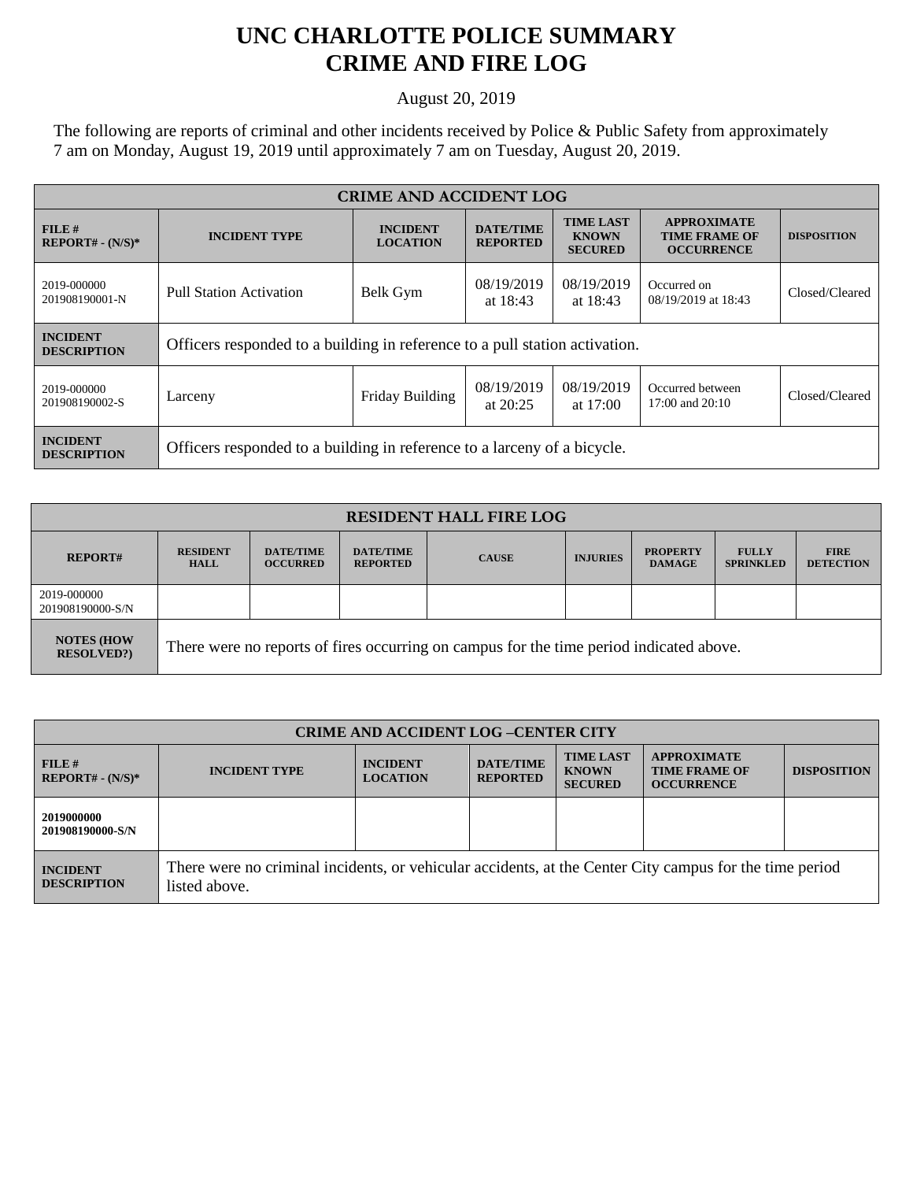## **UNC CHARLOTTE POLICE SUMMARY CRIME AND FIRE LOG**

August 20, 2019

The following are reports of criminal and other incidents received by Police & Public Safety from approximately 7 am on Monday, August 19, 2019 until approximately 7 am on Tuesday, August 20, 2019.

| <b>CRIME AND ACCIDENT LOG</b>         |                                                                             |                                    |                                     |                                                    |                                                                 |                    |
|---------------------------------------|-----------------------------------------------------------------------------|------------------------------------|-------------------------------------|----------------------------------------------------|-----------------------------------------------------------------|--------------------|
| $FILE$ #<br>$REPORT# - (N/S)*$        | <b>INCIDENT TYPE</b>                                                        | <b>INCIDENT</b><br><b>LOCATION</b> | <b>DATE/TIME</b><br><b>REPORTED</b> | <b>TIME LAST</b><br><b>KNOWN</b><br><b>SECURED</b> | <b>APPROXIMATE</b><br><b>TIME FRAME OF</b><br><b>OCCURRENCE</b> | <b>DISPOSITION</b> |
| 2019-000000<br>201908190001-N         | <b>Pull Station Activation</b>                                              | Belk Gym                           | 08/19/2019<br>at $18:43$            | 08/19/2019<br>at $18:43$                           | Occurred on<br>08/19/2019 at 18:43                              | Closed/Cleared     |
| <b>INCIDENT</b><br><b>DESCRIPTION</b> | Officers responded to a building in reference to a pull station activation. |                                    |                                     |                                                    |                                                                 |                    |
| 2019-000000<br>201908190002-S         | Larceny                                                                     | Friday Building                    | 08/19/2019<br>at $20:25$            | 08/19/2019<br>at $17:00$                           | Occurred between<br>17:00 and 20:10                             | Closed/Cleared     |
| <b>INCIDENT</b><br><b>DESCRIPTION</b> | Officers responded to a building in reference to a larceny of a bicycle.    |                                    |                                     |                                                    |                                                                 |                    |

| <b>RESIDENT HALL FIRE LOG</b>         |                                                                                         |                                     |                                     |              |                 |                                  |                                  |                                 |
|---------------------------------------|-----------------------------------------------------------------------------------------|-------------------------------------|-------------------------------------|--------------|-----------------|----------------------------------|----------------------------------|---------------------------------|
| <b>REPORT#</b>                        | <b>RESIDENT</b><br><b>HALL</b>                                                          | <b>DATE/TIME</b><br><b>OCCURRED</b> | <b>DATE/TIME</b><br><b>REPORTED</b> | <b>CAUSE</b> | <b>INJURIES</b> | <b>PROPERTY</b><br><b>DAMAGE</b> | <b>FULLY</b><br><b>SPRINKLED</b> | <b>FIRE</b><br><b>DETECTION</b> |
| 2019-000000<br>201908190000-S/N       |                                                                                         |                                     |                                     |              |                 |                                  |                                  |                                 |
| <b>NOTES (HOW</b><br><b>RESOLVED?</b> | There were no reports of fires occurring on campus for the time period indicated above. |                                     |                                     |              |                 |                                  |                                  |                                 |

| <b>CRIME AND ACCIDENT LOG-CENTER CITY</b> |                                                                                                                          |                                    |                                     |                                                    |                                                                 |                    |
|-------------------------------------------|--------------------------------------------------------------------------------------------------------------------------|------------------------------------|-------------------------------------|----------------------------------------------------|-----------------------------------------------------------------|--------------------|
| FILE#<br>$REPORT# - (N/S)*$               | <b>INCIDENT TYPE</b>                                                                                                     | <b>INCIDENT</b><br><b>LOCATION</b> | <b>DATE/TIME</b><br><b>REPORTED</b> | <b>TIME LAST</b><br><b>KNOWN</b><br><b>SECURED</b> | <b>APPROXIMATE</b><br><b>TIME FRAME OF</b><br><b>OCCURRENCE</b> | <b>DISPOSITION</b> |
| 2019000000<br>201908190000-S/N            |                                                                                                                          |                                    |                                     |                                                    |                                                                 |                    |
| <b>INCIDENT</b><br><b>DESCRIPTION</b>     | There were no criminal incidents, or vehicular accidents, at the Center City campus for the time period<br>listed above. |                                    |                                     |                                                    |                                                                 |                    |